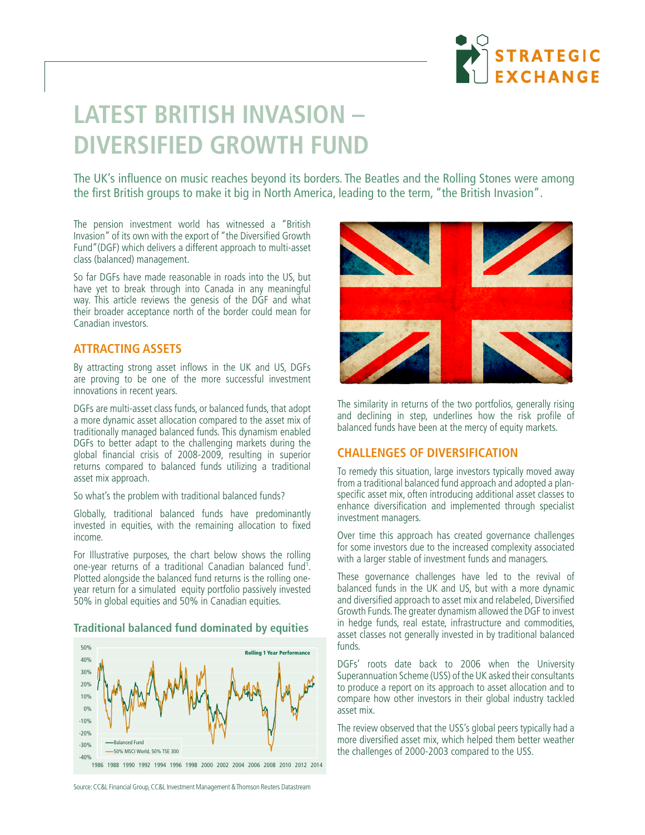

# **LATEST BRITISH INVASION – DIVERSIFIED GROWTH FUND**

The UK's influence on music reaches beyond its borders. The Beatles and the Rolling Stones were among the first British groups to make it big in North America, leading to the term, "the British Invasion".

The pension investment world has witnessed a "British Invasion" of its own with the export of "the Diversified Growth Fund"(DGF) which delivers a different approach to multi-asset class (balanced) management.

So far DGFs have made reasonable in roads into the US, but have yet to break through into Canada in any meaningful way. This article reviews the genesis of the DGF and what their broader acceptance north of the border could mean for Canadian investors.

#### **ATTRACTING ASSETS**

By attracting strong asset inflows in the UK and US, DGFs are proving to be one of the more successful investment innovations in recent years.

DGFs are multi-asset class funds, or balanced funds, that adopt a more dynamic asset allocation compared to the asset mix of traditionally managed balanced funds. This dynamism enabled DGFs to better adapt to the challenging markets during the global financial crisis of 2008-2009, resulting in superior returns compared to balanced funds utilizing a traditional asset mix approach.

So what's the problem with traditional balanced funds?

Globally, traditional balanced funds have predominantly invested in equities, with the remaining allocation to fixed income.

For Illustrative purposes, the chart below shows the rolling one-year returns of a traditional Canadian balanced fund<sup>1</sup>. Plotted alongside the balanced fund returns is the rolling oneyear return for a simulated equity portfolio passively invested 50% in global equities and 50% in Canadian equities.

#### **Traditional balanced fund dominated by equities**



1986 1988 1990 1992 1994 1996 1998 2000 2002 2004 2006 2008 2010 2012 2014



The similarity in returns of the two portfolios, generally rising and declining in step, underlines how the risk profile of balanced funds have been at the mercy of equity markets.

## **CHALLENGES OF DIVERSIFICATION**

To remedy this situation, large investors typically moved away from a traditional balanced fund approach and adopted a planspecific asset mix, often introducing additional asset classes to enhance diversification and implemented through specialist investment managers.

Over time this approach has created governance challenges for some investors due to the increased complexity associated with a larger stable of investment funds and managers.

These governance challenges have led to the revival of balanced funds in the UK and US, but with a more dynamic and diversified approach to asset mix and relabeled, Diversified Growth Funds. The greater dynamism allowed the DGF to invest in hedge funds, real estate, infrastructure and commodities, asset classes not generally invested in by traditional balanced funds.

DGFs' roots date back to 2006 when the University Superannuation Scheme (USS) of the UK asked their consultants to produce a report on its approach to asset allocation and to compare how other investors in their global industry tackled asset mix.

The review observed that the USS's global peers typically had a more diversified asset mix, which helped them better weather the challenges of 2000-2003 compared to the USS.